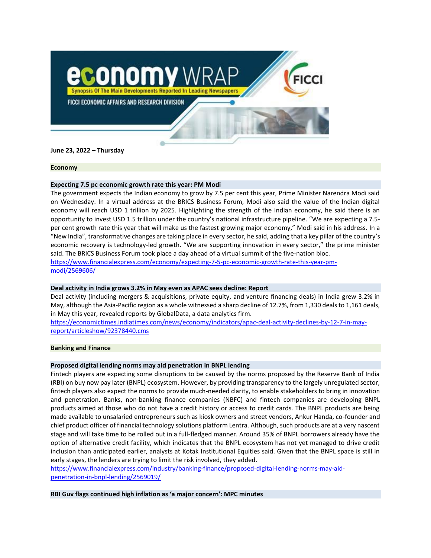

**June 23, 2022 – Thursday**

#### **Economy**

## **Expecting 7.5 pc economic growth rate this year: PM Modi**

The government expects the Indian economy to grow by 7.5 per cent this year, Prime Minister Narendra Modi said on Wednesday. In a virtual address at the BRICS Business Forum, Modi also said the value of the Indian digital economy will reach USD 1 trillion by 2025. Highlighting the strength of the Indian economy, he said there is an opportunity to invest USD 1.5 trillion under the country's national infrastructure pipeline. "We are expecting a 7.5 per cent growth rate this year that will make us the fastest growing major economy," Modi said in his address. In a "New India", transformative changes are taking place in every sector, he said, adding that a key pillar of the country's economic recovery is technology-led growth. "We are supporting innovation in every sector," the prime minister said. The BRICS Business Forum took place a day ahead of a virtual summit of the five-nation bloc. [https://www.financialexpress.com/economy/expecting-7-5-pc-economic-growth-rate-this-year-pm](https://www.financialexpress.com/economy/expecting-7-5-pc-economic-growth-rate-this-year-pm-modi/2569606/)[modi/2569606/](https://www.financialexpress.com/economy/expecting-7-5-pc-economic-growth-rate-this-year-pm-modi/2569606/)

# **Deal activity in India grows 3.2% in May even as APAC sees decline: Report**

Deal activity (including mergers & acquisitions, private equity, and venture financing deals) in India grew 3.2% in May, although the Asia-Pacific region as a whole witnessed a sharp decline of 12.7%, from 1,330 deals to 1,161 deals, in May this year, revealed reports by GlobalData, a data analytics firm.

[https://economictimes.indiatimes.com/news/economy/indicators/apac-deal-activity-declines-by-12-7-in-may](https://economictimes.indiatimes.com/news/economy/indicators/apac-deal-activity-declines-by-12-7-in-may-report/articleshow/92378440.cms)[report/articleshow/92378440.cms](https://economictimes.indiatimes.com/news/economy/indicators/apac-deal-activity-declines-by-12-7-in-may-report/articleshow/92378440.cms)

## **Banking and Finance**

## **Proposed digital lending norms may aid penetration in BNPL lending**

Fintech players are expecting some disruptions to be caused by the norms proposed by the Reserve Bank of India (RBI) on buy now pay later (BNPL) ecosystem. However, by providing transparency to the largely unregulated sector, fintech players also expect the norms to provide much-needed clarity, to enable stakeholders to bring in innovation and penetration. Banks, non-banking finance companies (NBFC) and fintech companies are developing BNPL products aimed at those who do not have a credit history or access to credit cards. The BNPL products are being made available to unsalaried entrepreneurs such as kiosk owners and street vendors, Ankur Handa, co-founder and chief product officer of financial technology solutions platform Lentra. Although, such products are at a very nascent stage and will take time to be rolled out in a full-fledged manner. Around 35% of BNPL borrowers already have the option of alternative credit facility, which indicates that the BNPL ecosystem has not yet managed to drive credit inclusion than anticipated earlier, analysts at Kotak Institutional Equities said. Given that the BNPL space is still in early stages, the lenders are trying to limit the risk involved, they added.

[https://www.financialexpress.com/industry/banking-finance/proposed-digital-lending-norms-may-aid](https://www.financialexpress.com/industry/banking-finance/proposed-digital-lending-norms-may-aid-penetration-in-bnpl-lending/2569019/)[penetration-in-bnpl-lending/2569019/](https://www.financialexpress.com/industry/banking-finance/proposed-digital-lending-norms-may-aid-penetration-in-bnpl-lending/2569019/)

**RBI Guv flags continued high inflation as 'a major concern': MPC minutes**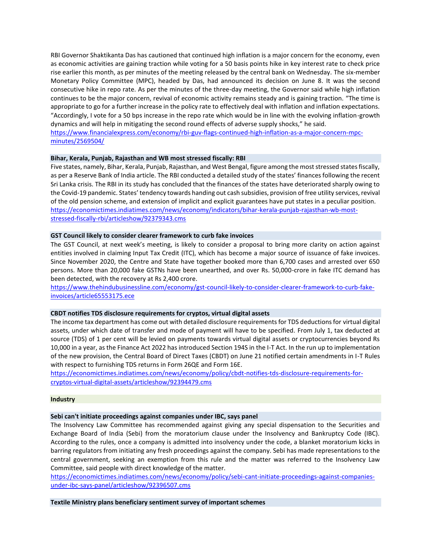RBI Governor Shaktikanta Das has cautioned that continued high inflation is a major concern for the economy, even as economic activities are gaining traction while voting for a 50 basis points hike in key interest rate to check price rise earlier this month, as per minutes of the meeting released by the central bank on Wednesday. The six-member Monetary Policy Committee (MPC), headed by Das, had announced its decision on June 8. It was the second consecutive hike in repo rate. As per the minutes of the three-day meeting, the Governor said while high inflation continues to be the major concern, revival of economic activity remains steady and is gaining traction. "The time is appropriate to go for a further increase in the policy rate to effectively deal with inflation and inflation expectations. "Accordingly, I vote for a 50 bps increase in the repo rate which would be in line with the evolving inflation-growth dynamics and will help in mitigating the second round effects of adverse supply shocks," he said.

[https://www.financialexpress.com/economy/rbi-guv-flags-continued-high-inflation-as-a-major-concern-mpc](https://www.financialexpress.com/economy/rbi-guv-flags-continued-high-inflation-as-a-major-concern-mpc-minutes/2569504/)[minutes/2569504/](https://www.financialexpress.com/economy/rbi-guv-flags-continued-high-inflation-as-a-major-concern-mpc-minutes/2569504/)

#### **Bihar, Kerala, Punjab, Rajasthan and WB most stressed fiscally: RBI**

Five states, namely, Bihar, Kerala, Punjab, Rajasthan, and West Bengal, figure among the most stressed states fiscally, as per a Reserve Bank of India article. The RBI conducted a detailed study of the states' finances following the recent Sri Lanka crisis. The RBI in its study has concluded that the finances of the states have deteriorated sharply owing to the Covid-19 pandemic. States' tendency towards handing out cash subsidies, provision of free utility services, revival of the old pension scheme, and extension of implicit and explicit guarantees have put states in a peculiar position. [https://economictimes.indiatimes.com/news/economy/indicators/bihar-kerala-punjab-rajasthan-wb-most](https://economictimes.indiatimes.com/news/economy/indicators/bihar-kerala-punjab-rajasthan-wb-most-stressed-fiscally-rbi/articleshow/92379343.cms)[stressed-fiscally-rbi/articleshow/92379343.cms](https://economictimes.indiatimes.com/news/economy/indicators/bihar-kerala-punjab-rajasthan-wb-most-stressed-fiscally-rbi/articleshow/92379343.cms)

## **GST Council likely to consider clearer framework to curb fake invoices**

The GST Council, at next week's meeting, is likely to consider a proposal to bring more clarity on action against entities involved in claiming Input Tax Credit (ITC), which has become a major source of issuance of fake invoices. Since November 2020, the Centre and State have together booked more than 6,700 cases and arrested over 650 persons. More than 20,000 fake GSTNs have been unearthed, and over Rs. 50,000-crore in fake ITC demand has been detected, with the recovery at Rs 2,400 crore.

[https://www.thehindubusinessline.com/economy/gst-council-likely-to-consider-clearer-framework-to-curb-fake](https://www.thehindubusinessline.com/economy/gst-council-likely-to-consider-clearer-framework-to-curb-fake-invoices/article65553175.ece)[invoices/article65553175.ece](https://www.thehindubusinessline.com/economy/gst-council-likely-to-consider-clearer-framework-to-curb-fake-invoices/article65553175.ece)

## **CBDT notifies TDS disclosure requirements for cryptos, virtual digital assets**

The income tax department has come out with detailed disclosure requirements for TDS deductions for virtual digital assets, under which date of transfer and mode of payment will have to be specified. From July 1, tax deducted at source (TDS) of 1 per cent will be levied on payments towards virtual digital assets or cryptocurrencies beyond Rs 10,000 in a year, as the Finance Act 2022 has introduced Section 194S in the I-T Act. In the run up to implementation of the new provision, the Central Board of Direct Taxes (CBDT) on June 21 notified certain amendments in I-T Rules with respect to furnishing TDS returns in Form 26QE and Form 16E.

[https://economictimes.indiatimes.com/news/economy/policy/cbdt-notifies-tds-disclosure-requirements-for](https://economictimes.indiatimes.com/news/economy/policy/cbdt-notifies-tds-disclosure-requirements-for-cryptos-virtual-digital-assets/articleshow/92394479.cms)[cryptos-virtual-digital-assets/articleshow/92394479.cms](https://economictimes.indiatimes.com/news/economy/policy/cbdt-notifies-tds-disclosure-requirements-for-cryptos-virtual-digital-assets/articleshow/92394479.cms)

#### **Industry**

#### **Sebi can't initiate proceedings against companies under IBC, says panel**

The Insolvency Law Committee has recommended against giving any special dispensation to the Securities and Exchange Board of India (Sebi) from the moratorium clause under the Insolvency and Bankruptcy Code (IBC). According to the rules, once a company is admitted into insolvency under the code, a blanket moratorium kicks in barring regulators from initiating any fresh proceedings against the company. Sebi has made representations to the central government, seeking an exemption from this rule and the matter was referred to the Insolvency Law Committee, said people with direct knowledge of the matter.

[https://economictimes.indiatimes.com/news/economy/policy/sebi-cant-initiate-proceedings-against-companies](https://economictimes.indiatimes.com/news/economy/policy/sebi-cant-initiate-proceedings-against-companies-under-ibc-says-panel/articleshow/92396507.cms)[under-ibc-says-panel/articleshow/92396507.cms](https://economictimes.indiatimes.com/news/economy/policy/sebi-cant-initiate-proceedings-against-companies-under-ibc-says-panel/articleshow/92396507.cms)

**Textile Ministry plans beneficiary sentiment survey of important schemes**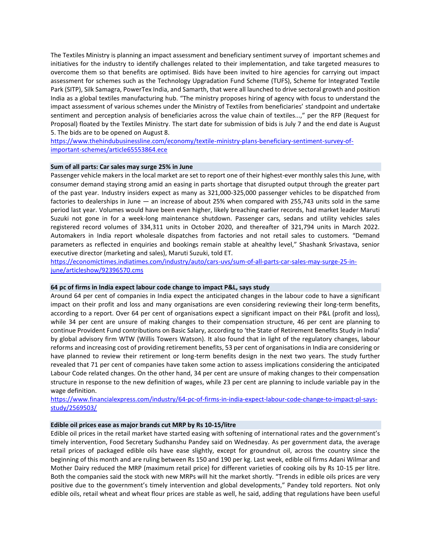The Textiles Ministry is planning an impact assessment and beneficiary sentiment survey of important schemes and initiatives for the industry to identify challenges related to their implementation, and take targeted measures to overcome them so that benefits are optimised. Bids have been invited to hire agencies for carrying out impact assessment for schemes such as the Technology Upgradation Fund Scheme (TUFS), Scheme for Integrated Textile Park (SITP), Silk Samagra, PowerTex India, and Samarth, that were all launched to drive sectoral growth and position India as a global textiles manufacturing hub. "The ministry proposes hiring of agency with focus to understand the impact assessment of various schemes under the Ministry of Textiles from beneficiaries' standpoint and undertake sentiment and perception analysis of beneficiaries across the value chain of textiles...," per the RFP (Request for Proposal) floated by the Textiles Ministry. The start date for submission of bids is July 7 and the end date is August 5. The bids are to be opened on August 8.

[https://www.thehindubusinessline.com/economy/textile-ministry-plans-beneficiary-sentiment-survey-of](https://www.thehindubusinessline.com/economy/textile-ministry-plans-beneficiary-sentiment-survey-of-important-schemes/article65553864.ece)[important-schemes/article65553864.ece](https://www.thehindubusinessline.com/economy/textile-ministry-plans-beneficiary-sentiment-survey-of-important-schemes/article65553864.ece)

## **Sum of all parts: Car sales may surge 25% in June**

Passenger vehicle makers in the local market are set to report one of their highest-ever monthly sales this June, with consumer demand staying strong amid an easing in parts shortage that disrupted output through the greater part of the past year. Industry insiders expect as many as 321,000-325,000 passenger vehicles to be dispatched from factories to dealerships in June — an increase of about 25% when compared with 255,743 units sold in the same period last year. Volumes would have been even higher, likely breaching earlier records, had market leader Maruti Suzuki not gone in for a week-long maintenance shutdown. Passenger cars, sedans and utility vehicles sales registered record volumes of 334,311 units in October 2020, and thereafter of 321,794 units in March 2022. Automakers in India report wholesale dispatches from factories and not retail sales to customers. "Demand parameters as reflected in enquiries and bookings remain stable at ahealthy level," Shashank Srivastava, senior executive director (marketing and sales), Maruti Suzuki, told ET.

[https://economictimes.indiatimes.com/industry/auto/cars-uvs/sum-of-all-parts-car-sales-may-surge-25-in](https://economictimes.indiatimes.com/industry/auto/cars-uvs/sum-of-all-parts-car-sales-may-surge-25-in-june/articleshow/92396570.cms)[june/articleshow/92396570.cms](https://economictimes.indiatimes.com/industry/auto/cars-uvs/sum-of-all-parts-car-sales-may-surge-25-in-june/articleshow/92396570.cms)

## **64 pc of firms in India expect labour code change to impact P&L, says study**

Around 64 per cent of companies in India expect the anticipated changes in the labour code to have a significant impact on their profit and loss and many organisations are even considering reviewing their long-term benefits, according to a report. Over 64 per cent of organisations expect a significant impact on their P&L (profit and loss), while 34 per cent are unsure of making changes to their compensation structure, 46 per cent are planning to continue Provident Fund contributions on Basic Salary, according to 'the State of Retirement Benefits Study in India' by global advisory firm WTW (Willis Towers Watson). It also found that in light of the regulatory changes, labour reforms and increasing cost of providing retirement benefits, 53 per cent of organisations in India are considering or have planned to review their retirement or long-term benefits design in the next two years. The study further revealed that 71 per cent of companies have taken some action to assess implications considering the anticipated Labour Code related changes. On the other hand, 34 per cent are unsure of making changes to their compensation structure in response to the new definition of wages, while 23 per cent are planning to include variable pay in the wage definition.

[https://www.financialexpress.com/industry/64-pc-of-firms-in-india-expect-labour-code-change-to-impact-pl-says](https://www.financialexpress.com/industry/64-pc-of-firms-in-india-expect-labour-code-change-to-impact-pl-says-study/2569503/)[study/2569503/](https://www.financialexpress.com/industry/64-pc-of-firms-in-india-expect-labour-code-change-to-impact-pl-says-study/2569503/)

# **Edible oil prices ease as major brands cut MRP by Rs 10-15/litre**

Edible oil prices in the retail market have started easing with softening of international rates and the government's timely intervention, Food Secretary Sudhanshu Pandey said on Wednesday. As per government data, the average retail prices of packaged edible oils have ease slightly, except for groundnut oil, across the country since the beginning of this month and are ruling between Rs 150 and 190 per kg. Last week, edible oil firms Adani Wilmar and Mother Dairy reduced the MRP (maximum retail price) for different varieties of cooking oils by Rs 10-15 per litre. Both the companies said the stock with new MRPs will hit the market shortly. "Trends in edible oils prices are very positive due to the government's timely intervention and global developments," Pandey told reporters. Not only edible oils, retail wheat and wheat flour prices are stable as well, he said, adding that regulations have been useful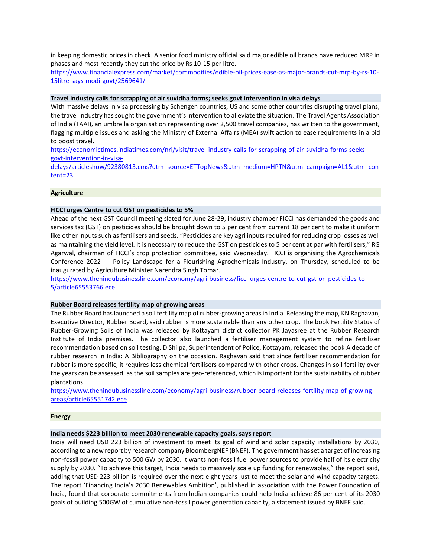in keeping domestic prices in check. A senior food ministry official said major edible oil brands have reduced MRP in phases and most recently they cut the price by Rs 10-15 per litre.

[https://www.financialexpress.com/market/commodities/edible-oil-prices-ease-as-major-brands-cut-mrp-by-rs-10-](https://www.financialexpress.com/market/commodities/edible-oil-prices-ease-as-major-brands-cut-mrp-by-rs-10-15litre-says-modi-govt/2569641/) [15litre-says-modi-govt/2569641/](https://www.financialexpress.com/market/commodities/edible-oil-prices-ease-as-major-brands-cut-mrp-by-rs-10-15litre-says-modi-govt/2569641/)

#### **Travel industry calls for scrapping of air suvidha forms; seeks govt intervention in visa delays**

With massive delays in visa processing by Schengen countries, US and some other countries disrupting travel plans, the travel industry has sought the government's intervention to alleviate the situation. The Travel Agents Association of India (TAAI), an umbrella organisation representing over 2,500 travel companies, has written to the government, flagging multiple issues and asking the Ministry of External Affairs (MEA) swift action to ease requirements in a bid to boost travel.

[https://economictimes.indiatimes.com/nri/visit/travel-industry-calls-for-scrapping-of-air-suvidha-forms-seeks](https://economictimes.indiatimes.com/nri/visit/travel-industry-calls-for-scrapping-of-air-suvidha-forms-seeks-govt-intervention-in-visa-delays/articleshow/92380813.cms?utm_source=ETTopNews&utm_medium=HPTN&utm_campaign=AL1&utm_content=23)[govt-intervention-in-visa-](https://economictimes.indiatimes.com/nri/visit/travel-industry-calls-for-scrapping-of-air-suvidha-forms-seeks-govt-intervention-in-visa-delays/articleshow/92380813.cms?utm_source=ETTopNews&utm_medium=HPTN&utm_campaign=AL1&utm_content=23)

[delays/articleshow/92380813.cms?utm\\_source=ETTopNews&utm\\_medium=HPTN&utm\\_campaign=AL1&utm\\_con](https://economictimes.indiatimes.com/nri/visit/travel-industry-calls-for-scrapping-of-air-suvidha-forms-seeks-govt-intervention-in-visa-delays/articleshow/92380813.cms?utm_source=ETTopNews&utm_medium=HPTN&utm_campaign=AL1&utm_content=23) [tent=23](https://economictimes.indiatimes.com/nri/visit/travel-industry-calls-for-scrapping-of-air-suvidha-forms-seeks-govt-intervention-in-visa-delays/articleshow/92380813.cms?utm_source=ETTopNews&utm_medium=HPTN&utm_campaign=AL1&utm_content=23)

## **Agriculture**

## **FICCI urges Centre to cut GST on pesticides to 5%**

Ahead of the next GST Council meeting slated for June 28-29, industry chamber FICCI has demanded the goods and services tax (GST) on pesticides should be brought down to 5 per cent from current 18 per cent to make it uniform like other inputs such as fertilisers and seeds. "Pesticides are key agri inputs required for reducing crop losses as well as maintaining the yield level. It is necessary to reduce the GST on pesticides to 5 per cent at par with fertilisers," RG Agarwal, chairman of FICCI's crop protection committee, said Wednesday. FICCI is organising the Agrochemicals Conference 2022 — Policy Landscape for a Flourishing Agrochemicals Industry, on Thursday, scheduled to be inaugurated by Agriculture Minister Narendra Singh Tomar.

[https://www.thehindubusinessline.com/economy/agri-business/ficci-urges-centre-to-cut-gst-on-pesticides-to-](https://www.thehindubusinessline.com/economy/agri-business/ficci-urges-centre-to-cut-gst-on-pesticides-to-5/article65553766.ece)[5/article65553766.ece](https://www.thehindubusinessline.com/economy/agri-business/ficci-urges-centre-to-cut-gst-on-pesticides-to-5/article65553766.ece)

#### **Rubber Board releases fertility map of growing areas**

The Rubber Board has launched a soil fertility map of rubber-growing areas in India. Releasing the map, KN Raghavan, Executive Director, Rubber Board, said rubber is more sustainable than any other crop. The book Fertility Status of Rubber-Growing Soils of India was released by Kottayam district collector PK Jayasree at the Rubber Research Institute of India premises. The collector also launched a fertiliser management system to refine fertiliser recommendation based on soil testing. D Shilpa, Superintendent of Police, Kottayam, released the book A decade of rubber research in India: A Bibliography on the occasion. Raghavan said that since fertiliser recommendation for rubber is more specific, it requires less chemical fertilisers compared with other crops. Changes in soil fertility over the years can be assessed, as the soil samples are geo-referenced, which is important for the sustainability of rubber plantations.

[https://www.thehindubusinessline.com/economy/agri-business/rubber-board-releases-fertility-map-of-growing](https://www.thehindubusinessline.com/economy/agri-business/rubber-board-releases-fertility-map-of-growing-areas/article65551742.ece)[areas/article65551742.ece](https://www.thehindubusinessline.com/economy/agri-business/rubber-board-releases-fertility-map-of-growing-areas/article65551742.ece)

#### **Energy**

## **India needs \$223 billion to meet 2030 renewable capacity goals, says report**

India will need USD 223 billion of investment to meet its goal of wind and solar capacity installations by 2030, according to a new report by research company BloombergNEF (BNEF). The government has set a target of increasing non-fossil power capacity to 500 GW by 2030. It wants non-fossil fuel power sources to provide half of its electricity supply by 2030. "To achieve this target, India needs to massively scale up funding for renewables," the report said, adding that USD 223 billion is required over the next eight years just to meet the solar and wind capacity targets. The report 'Financing India's 2030 Renewables Ambition', published in association with the Power Foundation of India, found that corporate commitments from Indian companies could help India achieve 86 per cent of its 2030 goals of building 500GW of cumulative non-fossil power generation capacity, a statement issued by BNEF said.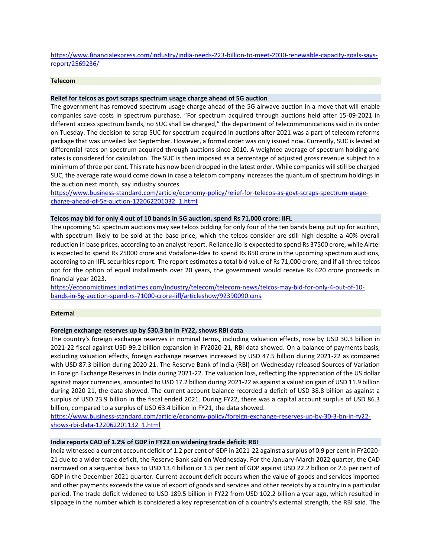## [https://www.financialexpress.com/industry/india-needs-223-billion-to-meet-2030-renewable-capacity-goals-says](https://www.financialexpress.com/industry/india-needs-223-billion-to-meet-2030-renewable-capacity-goals-says-report/2569236/)[report/2569236/](https://www.financialexpress.com/industry/india-needs-223-billion-to-meet-2030-renewable-capacity-goals-says-report/2569236/)

# **Telecom**

## **Relief for telcos as govt scraps spectrum usage charge ahead of 5G auction**

The government has removed spectrum usage charge ahead of the 5G airwave auction in a move that will enable companies save costs in spectrum purchase. "For spectrum acquired through auctions held after 15-09-2021 in different access spectrum bands, no SUC shall be charged," the department of telecommunications said in its order on Tuesday. The decision to scrap SUC for spectrum acquired in auctions after 2021 was a part of telecom reforms package that was unveiled last September. However, a formal order was only issued now. Currently, SUC is levied at differential rates on spectrum acquired through auctions since 2010. A weighted average of spectrum holding and rates is considered for calculation. The SUC is then imposed as a percentage of adjusted gross revenue subject to a minimum of three per cent. This rate has now been dropped in the latest order. While companies will still be charged SUC, the average rate would come down in case a telecom company increases the quantum of spectrum holdings in the auction next month, say industry sources.

[https://www.business-standard.com/article/economy-policy/relief-for-telecos-as-govt-scraps-spectrum-usage](https://www.business-standard.com/article/economy-policy/relief-for-telecos-as-govt-scraps-spectrum-usage-charge-ahead-of-5g-auction-122062201032_1.html)[charge-ahead-of-5g-auction-122062201032\\_1.html](https://www.business-standard.com/article/economy-policy/relief-for-telecos-as-govt-scraps-spectrum-usage-charge-ahead-of-5g-auction-122062201032_1.html)

### **Telcos may bid for only 4 out of 10 bands in 5G auction, spend Rs 71,000 crore: IIFL**

The upcoming 5G spectrum auctions may see telcos bidding for only four of the ten bands being put up for auction, with spectrum likely to be sold at the base price, which the telcos consider are still high despite a 40% overall reduction in base prices, according to an analyst report. Reliance Jio is expected to spend Rs 37500 crore, while Airtel is expected to spend Rs 25000 crore and Vodafone-Idea to spend Rs 850 crore in the upcoming spectrum auctions, according to an IIFL securities report. The report estimates a total bid value of Rs 71,000 crore, and if all three telcos opt for the option of equal installments over 20 years, the government would receive Rs 620 crore proceeds in financial year 2023.

[https://economictimes.indiatimes.com/industry/telecom/telecom-news/telcos-may-bid-for-only-4-out-of-10](https://economictimes.indiatimes.com/industry/telecom/telecom-news/telcos-may-bid-for-only-4-out-of-10-bands-in-5g-auction-spend-rs-71000-crore-iifl/articleshow/92390090.cms) [bands-in-5g-auction-spend-rs-71000-crore-iifl/articleshow/92390090.cms](https://economictimes.indiatimes.com/industry/telecom/telecom-news/telcos-may-bid-for-only-4-out-of-10-bands-in-5g-auction-spend-rs-71000-crore-iifl/articleshow/92390090.cms)

#### **External**

#### **Foreign exchange reserves up by \$30.3 bn in FY22, shows RBI data**

The country's foreign exchange reserves in nominal terms, including valuation effects, rose by USD 30.3 billion in 2021-22 fiscal against USD 99.2 billion expansion in FY2020-21, RBI data showed. On a balance of payments basis, excluding valuation effects, foreign exchange reserves increased by USD 47.5 billion during 2021-22 as compared with USD 87.3 billion during 2020-21. The Reserve Bank of India (RBI) on Wednesday released Sources of Variation in Foreign Exchange Reserves in India during 2021-22. The valuation loss, reflecting the appreciation of the US dollar against major currencies, amounted to USD 17.2 billion during 2021-22 as against a valuation gain of USD 11.9 billion during 2020-21, the data showed. The current account balance recorded a deficit of USD 38.8 billion as against a surplus of USD 23.9 billion in the fiscal ended 2021. During FY22, there was a capital account surplus of USD 86.3 billion, compared to a surplus of USD 63.4 billion in FY21, the data showed.

[https://www.business-standard.com/article/economy-policy/foreign-exchange-reserves-up-by-30-3-bn-in-fy22](https://www.business-standard.com/article/economy-policy/foreign-exchange-reserves-up-by-30-3-bn-in-fy22-shows-rbi-data-122062201132_1.html) [shows-rbi-data-122062201132\\_1.html](https://www.business-standard.com/article/economy-policy/foreign-exchange-reserves-up-by-30-3-bn-in-fy22-shows-rbi-data-122062201132_1.html)

## **India reports CAD of 1.2% of GDP in FY22 on widening trade deficit: RBI**

India witnessed a current account deficit of 1.2 per cent of GDP in 2021-22 against a surplus of 0.9 per cent in FY2020- 21 due to a wider trade deficit, the Reserve Bank said on Wednesday. For the January-March 2022 quarter, the CAD narrowed on a sequential basis to USD 13.4 billion or 1.5 per cent of GDP against USD 22.2 billion or 2.6 per cent of GDP in the December 2021 quarter. Current account deficit occurs when the value of goods and services imported and other payments exceeds the value of export of goods and services and other receipts by a country in a particular period. The trade deficit widened to USD 189.5 billion in FY22 from USD 102.2 billion a year ago, which resulted in slippage in the number which is considered a key representation of a country's external strength, the RBI said. The